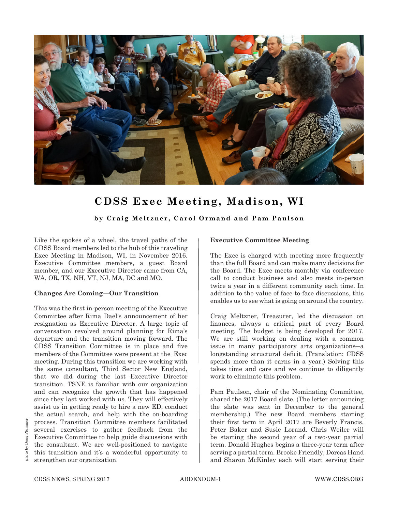

## **CDSS Exec Meeting, Madison, WI**

**by Craig Meltzner, Carol Ormand and Pam Paulson**

Like the spokes of a wheel, the travel paths of the CDSS Board members led to the hub of this traveling Exec Meeting in Madison, WI, in November 2016. Executive Committee members, a guest Board member, and our Executive Director came from CA, WA, OR, TX, NH, VT, NJ, MA, DC and MO.

## **Changes Are Coming—Our Transition**

This was the first in-person meeting of the Executive Committee after Rima Dael's announcement of her resignation as Executive Director. A large topic of conversation revolved around planning for Rima's departure and the transition moving forward. The CDSS Transition Committee is in place and five members of the Committee were present at the Exec meeting. During this transition we are working with the same consultant, Third Sector New England, that we did during the last Executive Director transition. TSNE is familiar with our organization and can recognize the growth that has happened since they last worked with us. They will effectively assist us in getting ready to hire a new ED, conduct the actual search, and help with the on-boarding process. Transition Committee members facilitated several exercises to gather feedback from the Executive Committee to help guide discussions with the consultant. We are well-positioned to navigate this transition and it's a wonderful opportunity to strengthen our organization.

## **Executive Committee Meeting**

The Exec is charged with meeting more frequently than the full Board and can make many decisions for the Board. The Exec meets monthly via conference call to conduct business and also meets in-person twice a year in a different community each time. In addition to the value of face-to-face discussions, this enables us to see what is going on around the country.

Craig Meltzner, Treasurer, led the discussion on finances, always a critical part of every Board meeting. The budget is being developed for 2017. We are still working on dealing with a common issue in many participatory arts organizations*―*a longstanding structural deficit. (Translation: CDSS spends more than it earns in a year.) Solving this takes time and care and we continue to diligently work to eliminate this problem.

Pam Paulson, chair of the Nominating Committee, shared the 2017 Board slate. (The letter announcing the slate was sent in December to the general membership.) The new Board members starting their first term in April 2017 are Beverly Francis, Peter Baker and Susie Lorand. Chris Weiler will be starting the second year of a two-year partial term. Donald Hughes begins a three-year term after serving a partial term. Brooke Friendly, Dorcas Hand and Sharon McKinley each will start serving their